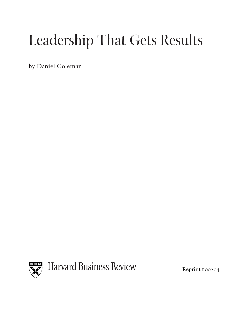### Leadership That Gets Results

by Daniel Goleman



Reprint ROO204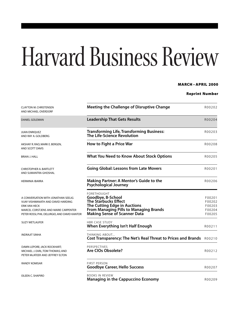# Harvard Business Review

#### **MARCH – APRIL 2000**

#### **Reprint Number**

| <b>CLAYTON M. CHRISTENSEN</b><br>AND MICHAEL OVERDORF                                                                                                                                     | <b>Meeting the Challenge of Disruptive Change</b>                                                                                                                                              | R00202                                         |
|-------------------------------------------------------------------------------------------------------------------------------------------------------------------------------------------|------------------------------------------------------------------------------------------------------------------------------------------------------------------------------------------------|------------------------------------------------|
| <b>DANIEL GOLEMAN</b>                                                                                                                                                                     | <b>Leadership That Gets Results</b>                                                                                                                                                            | R00204                                         |
| <b>JUAN ENRIQUEZ</b><br>AND RAY A. GOLDBERG                                                                                                                                               | <b>Transforming Life, Transforming Business:</b><br>The Life-Science Revolution                                                                                                                | R00203                                         |
| AKSHAY R. RAO, MARK E. BERGEN,<br><b>AND SCOTT DAVIS</b>                                                                                                                                  | How to Fight a Price War                                                                                                                                                                       | R00208                                         |
| <b>BRIAN J. HALL</b>                                                                                                                                                                      | <b>What You Need to Know About Stock Options</b>                                                                                                                                               | R00205                                         |
| <b>CHRISTOPHER A. BARTLETT</b><br>AND SUMANTRA GHOSHAL                                                                                                                                    | <b>Going Global: Lessons from Late Movers</b>                                                                                                                                                  | R00201                                         |
| <b>HERMINIA IBARRA</b>                                                                                                                                                                    | <b>Making Partner: A Mentor's Guide to the</b><br><b>Psychological Journey</b>                                                                                                                 | R00206                                         |
| A CONVERSATION WITH JONATHAN SEELIG<br>VIJAY VISHWANATH AND DAVID HARDING<br><b>ERIK VAN HECK</b><br>MARCEL CORSTJENS AND MARIE CARPENTER<br>PETER ROSSI, PHIL DELURGIO, AND DAVID KANTOR | <b>FORETHOUGHT</b><br>Goodbye, B-School<br><b>The Starbucks Effect</b><br>The Cutting Edge in Auctions<br><b>From Managing Pills to Managing Brands</b><br><b>Making Sense of Scanner Data</b> | F00201<br>F00202<br>F00203<br>F00204<br>F00205 |
| <b>SUZY WETLAUFER</b>                                                                                                                                                                     | <b>HBR CASE STUDY</b><br>When Everything Isn't Half Enough                                                                                                                                     | R00211                                         |
| <b>INDRAJIT SINHA</b>                                                                                                                                                                     | THINKING ABOUT<br>Cost Transparency: The Net's Real Threat to Prices and Brands R00210                                                                                                         |                                                |
| DAWN LEPORE; JACK ROCKHART;<br>MICHAEL J. EARL; TOM THOMAS; AND<br>PETER MCATEER AND JEFFREY ELTON                                                                                        | PERSPECTIVES<br>Are CIOs Obsolete?                                                                                                                                                             | R00212                                         |
| <b>RANDY KOMISAR</b>                                                                                                                                                                      | FIRST PERSON<br><b>Goodbye Career, Hello Success</b>                                                                                                                                           | R00207                                         |
| EILEEN C. SHAPIRO                                                                                                                                                                         | <b>BOOKS IN REVIEW</b><br><b>Managing in the Cappuccino Economy</b>                                                                                                                            | R00209                                         |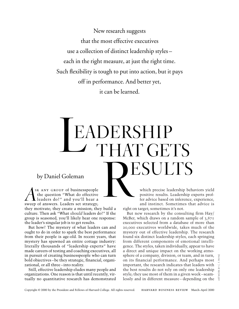New research suggests that the most effective executives use a collection of distinct leadership styles – each in the right measure, at just the right time. Such flexibility is tough to put into action, but it pays off in performance. And better yet, it can be learned.

## L<br>L by Daniel Goleman<br>
K ANY GROUP of businesspeople<br>
the question "What do effective<br>
leaders do?" and you'll hear a<br>
of answers. Leaders set strategy;<br>
potivate: they create a mission: they build a EADERSHIP THAT GETS ESULTS

sk any group of businesspeople the question "What do effective leaders do?" and you'll hear a SK ANY GROUP of businesspeople<br>the question "What do effective<br>sweep of answers. Leaders set strategy; they motivate; they create a mission; they build a culture. Then ask "What *should* leaders do?" If the group is seasoned, you'll likely hear one response: the leader's singular job is to get results.

But how? The mystery of what leaders can and ought to do in order to spark the best performance from their people is age-old. In recent years, that mystery has spawned an entire cottage industry: literally thousands of "leadership experts" have made careers of testing and coaching executives, all in pursuit of creating businesspeople who can turn bold objectives –be they strategic, financial, organizational, or all three –into reality.

Still, effective leadership eludes many people and organizations. One reason is that until recently, virtually no quantitative research has demonstrated

which precise leadership behaviors yield positive results. Leadership experts proffer advice based on inference, experience, and instinct. Sometimes that advice is right on target; sometimes it's not.

But new research by the consulting firm Hay/ McBer, which draws on a random sample of 3,871 executives selected from a database of more than 20,000 executives worldwide, takes much of the mystery out of effective leadership. The research found six distinct leadership styles, each springing from different components of emotional intelligence. The styles, taken individually, appear to have a direct and unique impact on the working atmosphere of a company, division, or team, and in turn, on its financial performance. And perhaps most important, the research indicates that leaders with  $\overline{\circ}$ the best results do not rely on only one leadership style; they use most of them in a given week –seamlessly and in different measure – depending on the  $\frac{1}{3}$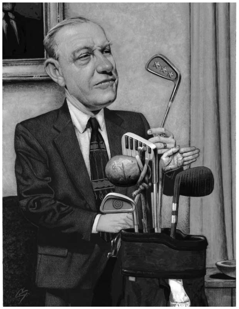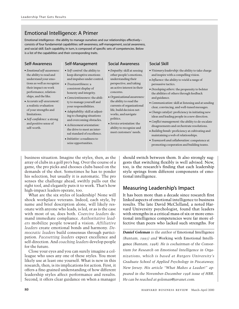#### Emotional Intelligence: A Primer

Emotional intelligence– the ability to manage ourselves and our relationships effectively– consists of four fundamental capabilities: self-awareness, self-management, social awareness, and social skill. Each capability, in turn, is composed of specific sets of competencies. Below is a list of the capabilities and their corresponding traits.

#### Self-Awareness

#### " *Emotional self-awareness:* the ability to read and understand your emotions as well as recognize their impact on work performance, relationships, and the like.

- " *Accurate self-assessment:* a realistic evaluation of your strengths and limitations.
- " *Self-confidence:* a strong and positive sense of self-worth.

" *Self-control:* the ability to keep disruptive emotions and impulses under control.

Self-Management

- " *Trustworthiness:* a consistent display of honesty and integrity.
- " *Conscientiousness:* the ability to manage yourself and your responsibilities. " *Adaptability:*skill at adjust-
- ing to changing situations and overcoming obstacles. " *Achievement orientation:*
	- the drive to meet an internal standard of excellence.
- " *Initiative:* a readiness to seize opportunities.

#### Social Skill

Social Awareness " *Empathy:*skill at sensing other people's emotions, understanding their perspective, and taking an active interest in their

" *Organizational awareness:* the ability to read the currents of organizational life, build decision networks, and navigate

" *Service orientation:* the ability to recognize and meet customers' needs.

concerns.

politics.

- " *Visionary leadership:* the ability to take charge and inspire with a compelling vision.
- " *Influence:* the ability to wield a range of persuasive tactics.
- " *Developing others:* the propensity to bolster the abilities of others through feedback and guidance.
- **Communication:** skill at listening and at sending clear, convincing, and well-tuned messages.
- " *Change catalyst:* proficiency in initiating new ideas and leading people in a new direction.
- **Conflict management:** the ability to de-escalate disagreements and orchestrate resolutions.
- " *Building bonds:* proficiency at cultivating and maintaining a web of relationships.
- " *Teamwork and collaboration:* competence at promoting cooperation and building teams.

business situation. Imagine the styles, then, as the array of clubs in a golf pro's bag. Over the course of a game, the pro picks and chooses clubs based on the demands of the shot. Sometimes he has to ponder his selection, but usually it is automatic. The pro senses the challenge ahead, swiftly pulls out the right tool, and elegantly puts it to work. That's how high-impact leaders operate, too.

What are the six styles of leadership? None will shock workplace veterans. Indeed, each style, by name and brief description alone, will likely resonate with anyone who leads, is led, or as is the case with most of us, does both. *Coercive leaders* demand immediate compliance. *Authoritative leaders* mobilize people toward a vision. *Affiliative leaders* create emotional bonds and harmony. *Democratic leaders* build consensus through participation. *Pacesetting leaders* expect excellence and self-direction. And *coaching leaders* develop people for the future.

Close your eyes and you can surely imagine a colleague who uses any one of these styles. You most likely use at least one yourself. What is new in this research, then, is its implications for action. First, it offers a fine-grained understanding of how different leadership styles affect performance and results. Second, it offers clear guidance on when a manager should switch between them. It also strongly suggests that switching flexibly is well advised. New, too, is the research's finding that each leadership style springs from different components of emotional intelligence.

#### Measuring Leadership's Impact

It has been more than a decade since research first linked aspects of emotional intelligence to business results. The late David McClelland, a noted Harvard University psychologist, found that leaders with strengths in a critical mass of six or more emotional intelligence competencies were far more effective than peers who lacked such strengths. For

*Daniel Goleman is the author of* Emotional Intelligence *(Bantam, 1995) and* Working with Emotional Intelligence *(Bantam, 1998). He is cochairman of the Consortium for Research on Emotional Intelligence in Organizations, which is based at Rutgers University's Graduate School of Applied Psychology in Piscataway, New Jersey. His article "What Makes a Leader?" appeared in the November–December 1998 issue of HBR. He can be reached at goleman@javanet.com.*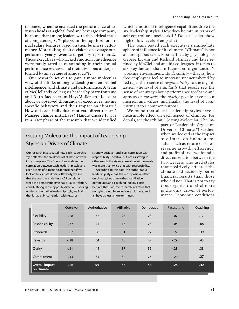instance, when he analyzed the performance of division heads at a global food and beverage company, he found that among leaders with this critical mass of competence, 87% placed in the top third for annual salary bonuses based on their business performance. More telling, their divisions on average outperformed yearly revenue targets by 15% to 20%. Those executives who lacked emotional intelligence were rarely rated as outstanding in their annual performance reviews, and their divisions underperformed by an average of almost 20%.

Our research set out to gain a more molecular view of the links among leadership and emotional intelligence, and climate and performance. A team of McClelland's colleagues headed by Mary Fontaine and Ruth Jacobs from Hay/McBer studied data about or observed thousands of executives, noting specific behaviors and their impact on climate.**<sup>1</sup>** How did each individual motivate direct reports? Manage change initiatives? Handle crises? It was in a later phase of the research that we identified which emotional intelligence capabilities drive the six leadership styles. How does he rate in terms of self-control and social skill? Does a leader show high or low levels of empathy?

The team tested each executive's immediate sphere of influence for its climate. "Climate" is not an amorphous term. First defined by psychologists George Litwin and Richard Stringer and later refined by McClelland and his colleagues, it refers to six key factors that influence an organization's working environment: its *flexibility* – that is, how free employees feel to innovate unencumbered by red tape; their sense of *responsibility* to the organization; the level of *standards* that people set; the sense of accuracy about performance feedback and aptness of *rewards*; the *clarity* people have about mission and values; and finally, the level of *commitment* to a common purpose.

We found that all six leadership styles have a measurable effect on each aspect of climate. (For details, see the exhibit "Getting Molecular: The Im-

### Getting Molecular: The Impact of Leadership Styles on Drivers of Climate

Our research investigated how each leadership style affected the six drivers of climate, or working atmosphere. The figures below show the correlation between each leadership style and each aspect of climate. So, for instance, if we look at the climate driver of flexibility, we see that the coercive style has a -.28 correlation while the democratic style has a .28 correlation, equally strong in the opposite direction. Focusing on the authoritative leadership style, we find that it has a .54 correlation with rewards–

strongly positive– and a .21 correlation with responsibility– positive, but not as strong. In other words, the style's correlation with rewards was more than twice that with responsibility.

According to the data, the authoritative leadership style has the most positive effect on climate, but three others– affiliative, democratic, and coaching– follow close behind. That said, the research indicates that no style should be relied on exclusively, and all have at least short-term uses.

pact of Leadership Styles on Drivers of Climate.") Further, when we looked at the impact of climate on financial results – such as return on sales, revenue growth, efficiency, and profitability – we found a direct correlation between the two. Leaders who used styles that positively affected the climate had decidedly better financial results than those who did not. That is not to say that organizational climate is the only driver of performance. Economic conditions

|                                     | Coercive | Authoritative | Affiliative | Democratic | Pacesetting | Coaching |
|-------------------------------------|----------|---------------|-------------|------------|-------------|----------|
| Flexibility                         | $-.28$   | .32           | .27         | .28        | $-.07$      | .17      |
| Responsibility                      | $-.37$   | .21           | .16         | .23        | .04         | .08      |
| <b>Standards</b>                    | .02      | .38           | .31         | .22        | $-.27$      | .39      |
| Rewards                             | $-18$    | .54           | .48         | .42        | $-.29$      | .43      |
| Clarity                             | $-.11$   | .44           | .37         | .35        | $-.28$      | .38      |
| Commitment                          | $-13$    | .35           | .34         | .26        | $-.20$      | .27      |
| <b>Overall impact</b><br>on climate | $-.26$   | .54           | .46         | .43        | $-.25$      | .42      |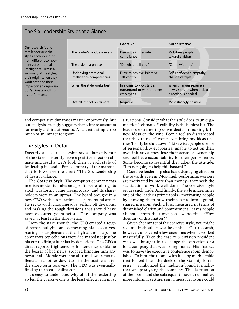#### The Six Leadership Styles at a Glance

| Our research found<br>that leaders use six |
|--------------------------------------------|
| styles, each springing                     |
| from different compo-                      |
| nents of emotional                         |
| intelligence. Here is a                    |
| summary of the styles,                     |
| their origin, when they                    |
| work best, and their                       |
| impact on an organiza-                     |
| tion's climate and thus                    |
| its performance.                           |

| iip Styles at a Giarice                                                                                                                                                                                                                                                                            |                                                                          |                                                                                                                 |
|----------------------------------------------------------------------------------------------------------------------------------------------------------------------------------------------------------------------------------------------------------------------------------------------------|--------------------------------------------------------------------------|-----------------------------------------------------------------------------------------------------------------|
|                                                                                                                                                                                                                                                                                                    | Coercive                                                                 | Authoritative                                                                                                   |
| The leader's modus operandi                                                                                                                                                                                                                                                                        | Demands immediate<br>compliance                                          | Mobilizes people<br>toward a vision                                                                             |
| The style in a phrase                                                                                                                                                                                                                                                                              | "Do what I tell you."                                                    | "Come with me."                                                                                                 |
| Underlying emotional<br>intelligence competencies                                                                                                                                                                                                                                                  | Drive to achieve, initiative,<br>self-control                            | Self-confidence, empathy,<br>change catalyst                                                                    |
| When the style works best                                                                                                                                                                                                                                                                          | In a crisis, to kick start a<br>turnaround, or with problem<br>employees | When changes require a<br>new vision, or when a clear<br>direction is needed                                    |
| Overall impact on climate                                                                                                                                                                                                                                                                          | <b>Negative</b>                                                          | Most strongly positive                                                                                          |
|                                                                                                                                                                                                                                                                                                    |                                                                          |                                                                                                                 |
| amics matter enormously. But<br>suggests that climate accounts<br>$\blacksquare$ $\blacksquare$ $\blacksquare$ $\blacksquare$ $\blacksquare$ $\blacksquare$ $\blacksquare$ $\blacksquare$ $\blacksquare$ $\blacksquare$ $\blacksquare$ $\blacksquare$ $\blacksquare$ $\blacksquare$ $\blacksquare$ |                                                                          | situations. Consider what the style does to an orga-<br>nization's climate. Flexibility is the hardest hit. The |

and competitive dynamics matter enormously. But our analysis strongly suggests that climate accounts for nearly a third of results. And that's simply too much of an impact to ignore.

#### The Styles in Detail

Executives use six leadership styles, but only four of the six consistently have a positive effect on climate and results. Let's look then at each style of leadership in detail. (For a summary of the material that follows, see the chart "The Six Leadership Styles at a Glance.")

**The Coercive Style.** The computer company was in crisis mode –its sales and profits were falling, its stock was losing value precipitously, and its shareholders were in an uproar. The board brought in a new CEO with a reputation as a turnaround artist. He set to work chopping jobs, selling off divisions, and making the tough decisions that should have been executed years before. The company was saved, at least in the short-term.

From the start, though, the CEO created a reign of terror, bullying and demeaning his executives, roaring his displeasure at the slightest misstep. The company's top echelons were decimated not just by his erratic firings but also by defections. The CEO's direct reports, frightened by his tendency to blame the bearer of bad news, stopped bringing him any news at all. Morale was at an all-time low –a fact reflected in another downturn in the business after the short-term recovery. The CEO was eventually fired by the board of directors.

It's easy to understand why of all the leadership styles, the coercive one is the least effective in most

situations. Consider what the style does to an organization's climate. Flexibility is the hardest hit. The leader's extreme top-down decision making kills new ideas on the vine. People feel so disrespected that they think, "I won't even bring my ideas up – they'll only be shot down." Likewise, people's sense of responsibility evaporates: unable to act on their own initiative, they lose their sense of ownership and feel little accountability for their performance. Some become so resentful they adopt the attitude, "I'm not going to help this bastard."

Coercive leadership also has a damaging effect on the rewards system. Most high-performing workers are motivated by more than money – they seek the satisfaction of work well done. The coercive style erodes such pride. And finally, the style undermines one of the leader's prime tools – motivating people by showing them how their job fits into a grand, shared mission. Such a loss, measured in terms of diminished clarity and commitment, leaves people alienated from their own jobs, wondering, "How does any of this matter?"

Given the impact of the coercive style, you might assume it should never be applied. Our research, however, uncovered a few occasions when it worked masterfully. Take the case of a division president who was brought in to change the direction of a food company that was losing money. His first act was to have the executive conference room demolished. To him, the room –with its long marble table that looked like "the deck of the Starship Enterprise" – symbolized the tradition-bound formality that was paralyzing the company. The destruction of the room, and the subsequent move to a smaller, more informal setting, sent a message no one could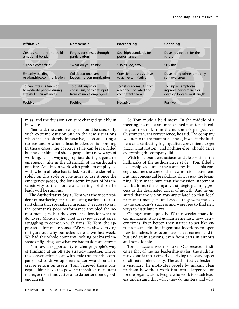| <b>Affiliative</b>                                                                 | <b>Democratic</b>                                                           | Pacesetting                                                           | Coaching                                                                     |
|------------------------------------------------------------------------------------|-----------------------------------------------------------------------------|-----------------------------------------------------------------------|------------------------------------------------------------------------------|
| Creates harmony and builds<br>emotional bonds                                      | Forges consensus through<br>participation                                   | Sets high standards for<br>performance                                | Develops people for the<br>future                                            |
| "People come first."                                                               | "What do you think?"                                                        | "Do as I do, now."                                                    | "Try this."                                                                  |
| Empathy, building<br>relationships, communication                                  | Collaboration, team<br>leadership, communication                            | Conscientiousness, drive<br>to achieve, initiative                    | Developing others, empathy,<br>self-awareness                                |
| To heal rifts in a team or<br>to motivate people during<br>stressful circumstances | To build buy-in or<br>consensus, or to get input<br>from valuable employees | To get quick results from<br>a highly motivated and<br>competent team | To help an employee<br>improve performance or<br>develop long-term strengths |
| Positive                                                                           | Positive                                                                    | <b>Negative</b>                                                       | Positive                                                                     |
|                                                                                    |                                                                             |                                                                       |                                                                              |

miss, and the division's culture changed quickly in its wake.

That said, the coercive style should be used only with extreme caution and in the few situations when it is absolutely imperative, such as during a turnaround or when a hostile takeover is looming. In those cases, the coercive style can break failed business habits and shock people into new ways of working. It is always appropriate during a genuine emergency, like in the aftermath of an earthquake or a fire. And it can work with problem employees with whom all else has failed. But if a leader relies solely on this style or continues to use it once the emergency passes, the long-term impact of his insensitivity to the morale and feelings of those he leads will be ruinous.

**The Authoritative Style.** Tom was the vice president of marketing at a floundering national restaurant chain that specialized in pizza. Needless to say, the company's poor performance troubled the senior managers, but they were at a loss for what to do. Every Monday, they met to review recent sales, struggling to come up with fixes. To Tom, the approach didn't make sense. "We were always trying to figure out why our sales were down last week. We had the whole company looking backward instead of figuring out what we had to do tomorrow."

Tom saw an opportunity to change people's way of thinking at an off-site strategy meeting. There, the conversation began with stale truisms: the company had to drive up shareholder wealth and increase return on assets. Tom believed those concepts didn't have the power to inspire a restaurant manager to be innovative or to do better than a goodenough job.

So Tom made a bold move. In the middle of a meeting, he made an impassioned plea for his colleagues to think from the customer's perspective. Customers want convenience, he said. The company was not in the restaurant business, it was in the business of distributing high-quality, convenient-to-get pizza. That notion – and nothing else – should drive everything the company did.

With his vibrant enthusiasm and clear vision –the hallmarks of the authoritative style – Tom filled a leadership vacuum at the company. Indeed, his concept became the core of the new mission statement. But this conceptual breakthrough was just the beginning. Tom made sure that the mission statement was built into the company's strategic planning process as the designated driver of growth. And he ensured that the vision was articulated so that local restaurant managers understood they were the key to the company's success and were free to find new ways to distribute pizza.

Changes came quickly. Within weeks, many local managers started guaranteeing fast, new delivery times. Even better, they started to act like entrepreneurs, finding ingenious locations to open new branches: kiosks on busy street corners and in bus and train stations, even from carts in airports and hotel lobbies.

Tom's success was no fluke. Our research indicates that of the six leadership styles, the authoritative one is most effective, driving up every aspect of climate. Take clarity. The authoritative leader is a visionary; he motivates people by making clear to them how their work fits into a larger vision for the organization. People who work for such leaders understand that what they do matters and why.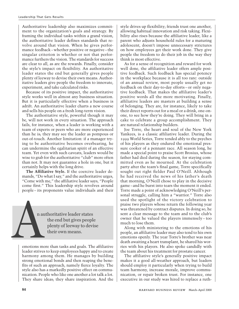Authoritative leadership also maximizes commitment to the organization's goals and strategy. By framing the individual tasks within a grand vision, the authoritative leader defines standards that revolve around that vision. When he gives performance feedback – whether positive or negative – the singular criterion is whether or not that performance furthers the vision. The standards for success are clear to all, as are the rewards. Finally, consider the style's impact on flexibility. An authoritative leader states the end but generally gives people plenty of leeway to devise their own means. Authoritative leaders give people the freedom to innovate, experiment, and take calculated risks.

Because of its positive impact, the authoritative style works well in almost any business situation. But it is particularly effective when a business is adrift. An authoritative leader charts a new course and sells his people on a fresh long-term vision.

The authoritative style, powerful though it may be, will not work in every situation. The approach fails, for instance, when a leader is working with a team of experts or peers who are more experienced than he is; they may see the leader as pompous or out-of-touch. Another limitation: if a manager trying to be authoritative becomes overbearing, he can undermine the egalitarian spirit of an effective team. Yet even with such caveats, leaders would be wise to grab for the authoritative "club" more often than not. It may not guarantee a hole in one, but it certainly helps with the long drive.

**The Affiliative Style.** If the coercive leader demands, "Do what I say," and the authoritative urges, "Come with me," the affiliative leader says, "People come first." This leadership style revolves around people – its proponents value individuals and their

n authoritative leader states<br>the end but gives peopl<br>plenty of leeway to dev<br>their own means. the end but gives people plenty of leeway to devise their own means.

emotions more than tasks and goals. The affiliative leader strives to keep employees happy and to create harmony among them. He manages by building strong emotional bonds and then reaping the benefits of such an approach, namely fierce loyalty. The style also has a markedly positive effect on communication. People who like one another a lot talk a lot. They share ideas; they share inspiration. And the style drives up flexibility; friends trust one another, allowing habitual innovation and risk taking. Flexibility also rises because the affiliative leader, like a parent who adjusts household rules for a maturing adolescent, doesn't impose unnecessary strictures on how employees get their work done. They give people the freedom to do their job in the way they think is most effective.

As for a sense of recognition and reward for work well done, the affiliative leader offers ample positive feedback. Such feedback has special potency in the workplace because it is all too rare: outside of an annual review, most people usually get no feedback on their day-to-day efforts – or only negative feedback. That makes the affiliative leader's positive words all the more motivating. Finally, affiliative leaders are masters at building a sense of belonging. They are, for instance, likely to take their direct reports out for a meal or a drink, one-onone, to see how they're doing. They will bring in a cake to celebrate a group accomplishment. They are natural relationship builders.

Joe Torre, the heart and soul of the New York Yankees, is a classic affiliative leader. During the 1999 World Series, Torre tended ably to the psyches of his players as they endured the emotional pressure cooker of a pennant race. All season long, he made a special point to praise Scott Brosius, whose father had died during the season, for staying committed even as he mourned. At the celebration party after the team's final game, Torre specifically sought out right fielder Paul O'Neill. Although he had received the news of his father's death that morning, O'Neill chose to play in the decisive game –and he burst into tears the moment it ended. Torre made a point of acknowledging O'Neill's personal struggle, calling him a "warrior." Torre also used the spotlight of the victory celebration to praise two players whose return the following year was threatened by contract disputes. In doing so, he sent a clear message to the team and to the club's owner that he valued the players immensely – too much to lose them.

Along with ministering to the emotions of his people, an affiliative leader may also tend to his own emotions openly. The year Torre's brother was near death awaiting a heart transplant, he shared his worries with his players. He also spoke candidly with the team about his treatment for prostate cancer.

The affiliative style's generally positive impact makes it a good all-weather approach, but leaders should employ it particularly when trying to build team harmony, increase morale, improve communication, or repair broken trust. For instance, one executive in our study was hired to replace a ruth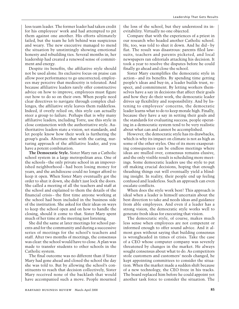less team leader. The former leader had taken credit for his employees' work and had attempted to pit them against one another. His efforts ultimately failed, but the team he left behind was suspicious and weary. The new executive managed to mend the situation by unstintingly showing emotional honesty and rebuilding ties. Several months in, her leadership had created a renewed sense of commitment and energy.

Despite its benefits, the affiliative style should not be used alone. Its exclusive focus on praise can allow poor performance to go uncorrected; employees may perceive that mediocrity is tolerated. And because affiliative leaders rarely offer constructive advice on how to improve, employees must figure out how to do so on their own. When people need clear directives to navigate through complex challenges, the affiliative style leaves them rudderless. Indeed, if overly relied on, this style can actually steer a group to failure. Perhaps that is why many affiliative leaders, including Torre, use this style in close conjunction with the authoritative style. Authoritative leaders state a vision, set standards, and let people know how their work is furthering the group's goals. Alternate that with the caring, nurturing approach of the affiliative leader, and you have a potent combination.

**The Democratic Style.** Sister Mary ran a Catholic school system in a large metropolitan area. One of the schools – the only private school in an impoverished neighborhood – had been losing money for years, and the archdiocese could no longer afford to keep it open. When Sister Mary eventually got the order to shut it down, she didn't just lock the doors. She called a meeting of all the teachers and staff at the school and explained to them the details of the financial crisis – the first time anyone working at the school had been included in the business side of the institution. She asked for their ideas on ways to keep the school open and on how to handle the closing, should it come to that. Sister Mary spent much of her time at the meeting just listening.

She did the same at later meetings for school parents and for the community and during a successive series of meetings for the school's teachers and staff. After two months of meetings, the consensus was clear: the school would have to close. A plan was made to transfer students to other schools in the Catholic system.

The final outcome was no different than if Sister Mary had gone ahead and closed the school the day she was told to. But by allowing the school's constituents to reach that decision collectively, Sister Mary received none of the backlash that would have accompanied such a move. People mourned the loss of the school, but they understood its inevitability. Virtually no one objected.

Compare that with the experiences of a priest in our research who headed another Catholic school. He, too, was told to shut it down. And he did – by fiat. The result was disastrous: parents filed lawsuits, teachers and parents picketed, and local newspapers ran editorials attacking his decision. It took a year to resolve the disputes before he could finally go ahead and close the school.

Sister Mary exemplifies the democratic style in action – and its benefits. By spending time getting people's ideas and buy-in, a leader builds trust, respect, and commitment. By letting workers themselves have a say in decisions that affect their goals and how they do their work, the democratic leader drives up flexibility and responsibility. And by listening to employees' concerns, the democratic leader learns what to do to keep morale high. Finally, because they have a say in setting their goals and the standards for evaluating success, people operating in a democratic system tend to be very realistic about what can and cannot be accomplished.

However, the democratic style has its drawbacks, which is why its impact on climate is not as high as some of the other styles. One of its more exasperating consequences can be endless meetings where ideas are mulled over, consensus remains elusive, and the only visible result is scheduling more meetings. Some democratic leaders use the style to put off making crucial decisions, hoping that enough thrashing things out will eventually yield a blinding insight. In reality, their people end up feeling confused and leaderless. Such an approach can even escalate conflicts.

When does the style work best? This approach is ideal when a leader is himself uncertain about the best direction to take and needs ideas and guidance from able employees. And even if a leader has a strong vision, the democratic style works well to generate fresh ideas for executing that vision.

The democratic style, of course, makes much less sense when employees are not competent or informed enough to offer sound advice. And it almost goes without saying that building consensus is wrongheaded in times of crisis. Take the case of a CEO whose computer company was severely threatened by changes in the market. He always sought consensus about what to do. As competitors stole customers and customers' needs changed, he kept appointing committees to consider the situation. When the market made a sudden shift because of a new technology, the CEO froze in his tracks. The board replaced him before he could appoint yet another task force to consider the situation. The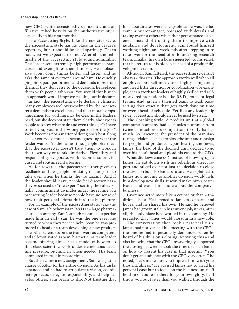new CEO, while occasionally democratic and affiliative, relied heavily on the authoritative style, especially in his first months.

**The Pacesetting Style.** Like the coercive style, the pacesetting style has its place in the leader's repertory, but it should be used sparingly. That's not what we expected to find. After all, the hallmarks of the pacesetting style sound admirable. The leader sets extremely high performance standards and exemplifies them himself. He is obsessive about doing things better and faster, and he asks the same of everyone around him. He quickly pinpoints poor performers and demands more from them. If they don't rise to the occasion, he replaces them with people who can. You would think such an approach would improve results, but it doesn't.

In fact, the pacesetting style destroys climate. Many employees feel overwhelmed by the pacesetter's demands for excellence, and their morale drops. Guidelines for working may be clear in the leader's head, but she does not state them clearly; she expects people to know what to do and even thinks, "If I have to tell you, you're the wrong person for the job." Work becomes not a matter of doing one's best along a clear course so much as second-guessing what the leader wants. At the same time, people often feel that the pacesetter doesn't trust them to work in their own way or to take initiative. Flexibility and responsibility evaporate; work becomes so task focused and routinized it's boring.

As for rewards, the pacesetter either gives no feedback on how people are doing or jumps in to take over when he thinks they're lagging. And if the leader should leave, people feel directionless – they're so used to "the expert" setting the rules. Finally, commitment dwindles under the regime of a pacesetting leader because people have no sense of how their personal efforts fit into the big picture.

For an example of the pacesetting style, take the case of Sam, a biochemist in R&D at a large pharmaceutical company. Sam's superb technical expertise made him an early star: he was the one everyone turned to when they needed help. Soon he was promoted to head of a team developing a new product. The other scientists on the team were as competent and self-motivated as Sam; his métier as team leader became offering himself as a model of how to do first-class scientific work under tremendous deadline pressure, pitching in when needed. His team completed its task in record time.

But then came a new assignment: Sam was put in charge of R&D for his entire division. As his tasks expanded and he had to articulate a vision, coordinate projects, delegate responsibility, and help develop others, Sam began to slip. Not trusting that his subordinates were as capable as he was, he became a micromanager, obsessed with details and taking over for others when their performance slackened. Instead of trusting them to improve with guidance and development, Sam found himself working nights and weekends after stepping in to take over for the head of a floundering research team. Finally, his own boss suggested, to his relief, that he return to his old job as head of a product development team.

Although Sam faltered, the pacesetting style isn't always a disaster. The approach works well when all employees are self-motivated, highly competent, and need little direction or coordination – for example, it can work for leaders of highly skilled and selfmotivated professionals, like R&D groups or legal teams. And, given a talented team to lead, pacesetting does exactly that: gets work done on time or even ahead of schedule. Yet like any leadership style, pacesetting should never be used by itself.

**The Coaching Style.** A product unit at a global computer company had seen sales plummet from twice as much as its competitors to only half as much. So Lawrence, the president of the manufacturing division, decided to close the unit and reassign its people and products. Upon hearing the news, James, the head of the doomed unit, decided to go over his boss's head and plead his case to the CEO.

What did Lawrence do? Instead of blowing up at James, he sat down with his rebellious direct report and talked over not just the decision to close the division but also James's future. He explained to James how moving to another division would help him develop new skills. It would make him a better leader and teach him more about the company's business.

Lawrence acted more like a counselor than a traditional boss. He listened to James's concerns and hopes, and he shared his own. He said he believed James had grown stale in his current job; it was, after all, the only place he'd worked in the company. He predicted that James would blossom in a new role.

The conversation then took a practical turn. James had not yet had his meeting with the CEO – the one he had impetuously demanded when he heard of his division's closing. Knowing this – and also knowing that the CEO unwaveringly supported the closing –Lawrence took the time to coach James on how to present his case in that meeting. "You don't get an audience with the CEO very often," he noted, "let's make sure you impress him with your thoughtfulness." He advised James not to plead his personal case but to focus on the business unit: "If he thinks you're in there for your own glory, he'll throw you out faster than you walked through the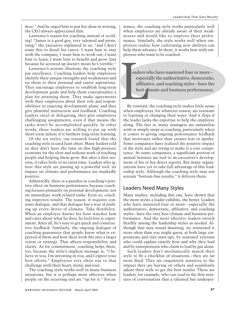door." And he urged him to put his ideas in writing; the CEO always appreciated that.

Lawrence's reason for coaching instead of scolding? "James is a good guy, very talented and promising," the executive explained to us, "and I don't want this to derail his career. I want him to stay with the company, I want him to work out, I want him to learn, I want him to benefit and grow. Just because he screwed up doesn't mean he's terrible."

Lawrence's actions illustrate the coaching style par excellence. Coaching leaders help employees identify their unique strengths and weaknesses and tie them to their personal and career aspirations. They encourage employees to establish long-term development goals and help them conceptualize a plan for attaining them. They make agreements with their employees about their role and responsibilities in enacting development plans, and they give plentiful instruction and feedback. Coaching leaders excel at delegating; they give employees challenging assignments, even if that means the tasks won't be accomplished quickly. In other words, these leaders are willing to put up with short-term failure if it furthers long-term learning.

Of the six styles, our research found that the coaching style is used least often. Many leaders told us they don't have the time in this high-pressure economy for the slow and tedious work of teaching people and helping them grow. But after a first session, it takes little or no extra time. Leaders who ignore this style are passing up a powerful tool: its impact on climate and performance are markedly positive.

Admittedly, there is a paradox in coaching's positive effect on business performance because coaching focuses primarily on personal development, not on immediate work-related tasks. Even so, coaching improves results. The reason: it requires constant dialogue, and that dialogue has a way of pushing up every driver of climate. Take flexibility. When an employee knows his boss watches him and cares about what he does, he feels free to experiment. After all, he's sure to get quick and constructive feedback. Similarly, the ongoing dialogue of coaching guarantees that people know what is expected of them and how their work fits into a larger vision or strategy. That affects responsibility and clarity. As for commitment, coaching helps there, too, because the style's implicit message is, "I believe in you, I'm investing in you, and I expect your best efforts." Employees very often rise to that challenge with their heart, mind, and soul.

The coaching style works well in many business situations, but it is perhaps most effective when people on the receiving end are "up for it." For instance, the coaching style works particularly well when employees are already aware of their weaknesses and would like to improve their performance. Similarly, the style works well when employees realize how cultivating new abilities can help them advance. In short, it works best with employees who want to be coached.

Expected<br>
Expected<br>
Supposed to the By contrast, eaders who have mastered four or more – especially the authoritative, democratic, affiliative, and coaching styles –have the best climate and business performance.

By contrast, the coaching style makes little sense when employees, for whatever reason, are resistant to learning or changing their ways. And it flops if the leader lacks the expertise to help the employee along. The fact is, many managers are unfamiliar with or simply inept at coaching, particularly when it comes to giving ongoing performance feedback that motivates rather than creates fear or apathy. Some companies have realized the positive impact of the style and are trying to make it a core competence. At some companies, a significant portion of annual bonuses are tied to an executive's development of his or her direct reports. But many organizations have yet to take full advantage of this leadership style. Although the coaching style may not scream "bottom-line results," it delivers them.

#### Leaders Need Many Styles

Many studies, including this one, have shown that the more styles a leader exhibits, the better. Leaders who have mastered four or more – especially the authoritative, democratic, affiliative, and coaching styles – have the very best climate and business performance. And the most effective leaders switch flexibly among the leadership styles as needed. Although that may sound daunting, we witnessed it more often than you might guess, at both large corporations and tiny start-ups, by seasoned veterans who could explain exactly how and why they lead and by entrepreneurs who claim to lead by gut alone.

Such leaders don't mechanically match their style to fit a checklist of situations – they are far more fluid. They are exquisitely sensitive to the impact they are having on others and seamlessly adjust their style to get the best results. These are leaders, for example, who can read in the first minutes of conversation that a talented but underper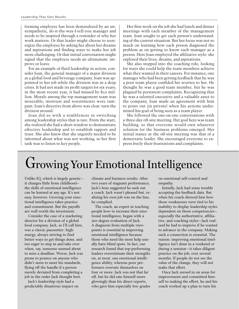forming employee has been demoralized by an unsympathetic, do-it-the-way-I-tell-you manager and needs to be inspired through a reminder of why her work matters. Or that leader might choose to reenergize the employee by asking her about her dreams and aspirations and finding ways to make her job more challenging. Or that initial conversation might signal that the employee needs an ultimatum: improve or leave.

For an example of fluid leadership in action, consider Joan, the general manager of a major division at a global food and beverage company. Joan was appointed to her job while the division was in a deep crisis. It had not made its profit targets for six years; in the most recent year, it had missed by \$50 million. Morale among the top management team was miserable; mistrust and resentments were rampant. Joan's directive from above was clear: turn the division around.

Joan did so with a nimbleness in switching among leadership styles that is rare. From the start, she realized she had a short window to demonstrate effective leadership and to establish rapport and trust. She also knew that she urgently needed to be informed about what was not working, so her first task was to listen to key people.

Her first week on the job she had lunch and dinner meetings with each member of the management team. Joan sought to get each person's understanding of the current situation. But her focus was not so much on learning how each person diagnosed the problem as on getting to know each manager as a person. Here Joan employed the affiliative style: she explored their lives, dreams, and aspirations.

She also stepped into the coaching role, looking for ways she could help the team members achieve what they wanted in their careers. For instance, one manager who had been getting feedback that he was a poor team player confided his worries to her. He thought he was a good team member, but he was plagued by persistent complaints. Recognizing that he was a talented executive and a valuable asset to the company, Joan made an agreement with him to point out (in private) when his actions undermined his goal of being seen as a team player.

She followed the one-on-one conversations with a three-day off-site meeting. Her goal here was team building, so that everyone would own whatever solution for the business problems emerged. Her initial stance at the off-site meeting was that of a democratic leader. She encouraged everyone to express freely their frustrations and complaints.

### Growing Your Emotional Intelligence

Unlike IQ, which is largely genetic – it changes little from childhood – the skills of emotional intelligence can be learned at any age. It's not easy, however. Growing your emotional intelligence takes practice and commitment. But the payoffs are well worth the investment.

Consider the case of a marketing director for a division of a global food company. Jack, as I'll call him, was a classic pacesetter: highenergy, always striving to find better ways to get things done, and too eager to step in and take over when, say, someone seemed about to miss a deadline. Worse, Jack was prone to pounce on anyone who didn't seem to meet his standards, flying off the handle if a person merely deviated from completing a job in the order Jack thought best.

Jack's leadership style had a predictably disastrous impact on climate and business results. After two years of stagnant performance, Jack's boss suggested he seek out a coach. Jack wasn't pleased but, realizing his own job was on the line, he complied.

The coach, an expert in teaching people how to increase their emotional intelligence, began with a 360-degree evaluation of Jack. A diagnosis from multiple viewpoints is essential in improving emotional intelligence because those who need the most help usually have blind spots. In fact, our research found that top-performing leaders overestimate their strengths on, at most, one emotional intelligence ability, whereas poor performers overrate themselves on four or more. Jack was not that far off, but he did rate himself more glowingly than his direct reports, who gave him especially low grades on emotional self-control and empathy.

Initially, Jack had some trouble accepting the feedback data. But when his coach showed him how those weaknesses were tied to his inability to display leadership styles dependent on those competencies – especially the authoritative, affiliative, and coaching styles – Jack realized he had to improve if he wanted to advance in the company. Making such a connection is essential. The reason: improving emotional intelligence isn't done in a weekend or during a seminar – it takes diligent practice on the job, over several months. If people do not see the value of the change, they will not make that effort.

Once Jack zeroed in on areas for improvement and committed himself to making the effort, he and his coach worked up a plan to turn his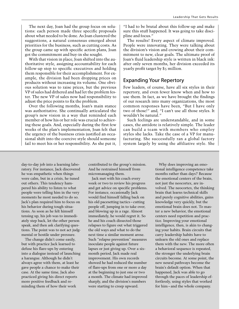The next day, Joan had the group focus on solutions: each person made three specific proposals about what needed to be done. As Joan clustered the suggestions, a natural consensus emerged about priorities for the business, such as cutting costs. As the group came up with specific action plans, Joan got the commitment and buy-in she sought.

With that vision in place, Joan shifted into the authoritative style, assigning accountability for each follow-up step to specific executives and holding them responsible for their accomplishment. For example, the division had been dropping prices on products without increasing its volume. One obvious solution was to raise prices, but the previous VP of sales had dithered and had let the problem fester. The new VP of sales now had responsibility to adjust the price points to fix the problem.

Over the following months, Joan's main stance was authoritative. She continually articulated the group's new vision in a way that reminded each member of how his or her role was crucial to achieving these goals. And, especially during the first few weeks of the plan's implementation, Joan felt that the urgency of the business crisis justified an occasional shift into the coercive style should someone fail to meet his or her responsibility. As she put it, "I had to be brutal about this follow-up and make sure this stuff happened. It was going to take discipline and focus."

The results? Every aspect of climate improved. People were innovating. They were talking about the division's vision and crowing about their commitment to new, clear goals. The ultimate proof of Joan's fluid leadership style is written in black ink: after only seven months, her division exceeded its yearly profit target by \$5 million.

#### Expanding Your Repertory

Few leaders, of course, have all six styles in their repertory, and even fewer know when and how to use them. In fact, as we have brought the findings of our research into many organizations, the most common responses have been, "But I have only two of those!" and, "I can't use all those styles. It wouldn't be natural."

Such feelings are understandable, and in some cases, the antidote is relatively simple. The leader can build a team with members who employ styles she lacks. Take the case of a VP for manufacturing. She successfully ran a global factory system largely by using the affiliative style. She

day-to-day job into a learning laboratory. For instance, Jack discovered he was empathetic when things were calm, but in a crisis, he tuned out others. This tendency hampered his ability to listen to what people were telling him in the very moments he most needed to do so. Jack's plan required him to focus on his behavior during tough situations. As soon as he felt himself tensing up, his job was to immediately step back, let the other person speak, and then ask clarifying questions. The point was to not act judgmental or hostile under pressure.

The change didn't come easily, but with practice Jack learned to defuse his flare-ups by entering into a dialogue instead of launching a harangue. Although he didn't always agree with them, at least he gave people a chance to make their case. At the same time, Jack also practiced giving his direct reports more positive feedback and reminding them of how their work

contributed to the group's mission. And he restrained himself from micromanaging them.

Jack met with his coach every week or two to review his progress and get advice on specific problems. For instance, occasionally Jack would find himself falling back on his old pacesetting tactics – cutting people off, jumping in to take over, and blowing up in a rage. Almost immediately, he would regret it. So he and his coach dissected those relapses to figure out what triggered the old ways and what to do the next time a similar moment arose. Such "relapse prevention" measures inoculate people against future lapses or just giving up. Over a sixmonth period, Jack made real improvement. His own records showed he had reduced the number of flare-ups from one or more a day at the beginning to just one or two a month. The climate had improved sharply, and the division's numbers were starting to creep upward.

Why does improving an emotional intelligence competence take months rather than days? Because the emotional centers of the brain, not just the neocortex, are involved. The neocortex, the thinking brain that learns technical skills and purely cognitive abilities, gains knowledge very quickly, but the emotional brain does not. To master a new behavior, the emotional centers need repetition and practice. Improving your emotional intelligence, then, is akin to changing your habits. Brain circuits that carry leadership habits have to unlearn the old ones and replace them with the new. The more often a behavioral sequence is repeated, the stronger the underlying brain circuits become. At some point, the new neural pathways become the brain's default option. When that happened, Jack was able to go through the paces of leadership effortlessly, using styles that worked for him – and the whole company.